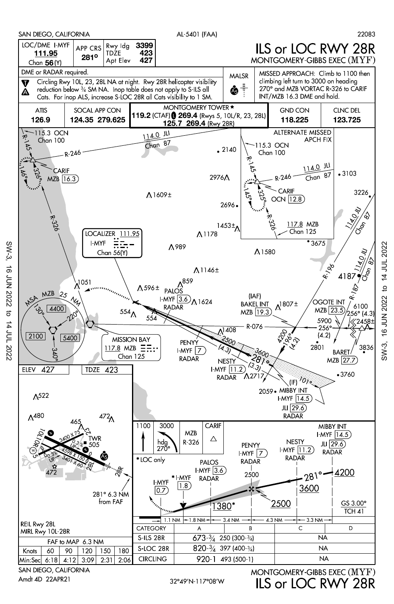

ILS or LOC RWY 28R

SW-3, 16 JUN 2022 to 14 JUL 2022

16 JUN 2022

 $SW-3$ .

 $\overline{5}$ 

14 JUL 2022

32°49'N-117°08'W